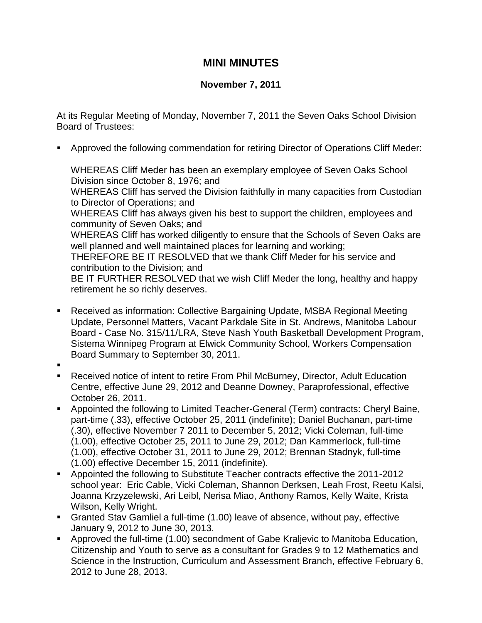## **MINI MINUTES**

## **November 7, 2011**

At its Regular Meeting of Monday, November 7, 2011 the Seven Oaks School Division Board of Trustees:

Approved the following commendation for retiring Director of Operations Cliff Meder:

WHEREAS Cliff Meder has been an exemplary employee of Seven Oaks School Division since October 8, 1976; and

WHEREAS Cliff has served the Division faithfully in many capacities from Custodian to Director of Operations; and

WHEREAS Cliff has always given his best to support the children, employees and community of Seven Oaks; and

WHEREAS Cliff has worked diligently to ensure that the Schools of Seven Oaks are well planned and well maintained places for learning and working;

THEREFORE BE IT RESOLVED that we thank Cliff Meder for his service and contribution to the Division; and

BE IT FURTHER RESOLVED that we wish Cliff Meder the long, healthy and happy retirement he so richly deserves.

- Received as information: Collective Bargaining Update, MSBA Regional Meeting Update, Personnel Matters, Vacant Parkdale Site in St. Andrews, Manitoba Labour Board - Case No. 315/11/LRA, Steve Nash Youth Basketball Development Program, Sistema Winnipeg Program at Elwick Community School, Workers Compensation Board Summary to September 30, 2011.
- .
- Received notice of intent to retire From Phil McBurney, Director, Adult Education Centre, effective June 29, 2012 and Deanne Downey, Paraprofessional, effective October 26, 2011.
- Appointed the following to Limited Teacher-General (Term) contracts: Cheryl Baine, part-time (.33), effective October 25, 2011 (indefinite); Daniel Buchanan, part-time (.30), effective November 7 2011 to December 5, 2012; Vicki Coleman, full-time (1.00), effective October 25, 2011 to June 29, 2012; Dan Kammerlock, full-time (1.00), effective October 31, 2011 to June 29, 2012; Brennan Stadnyk, full-time (1.00) effective December 15, 2011 (indefinite).
- Appointed the following to Substitute Teacher contracts effective the 2011-2012 school year: Eric Cable, Vicki Coleman, Shannon Derksen, Leah Frost, Reetu Kalsi, Joanna Krzyzelewski, Ari Leibl, Nerisa Miao, Anthony Ramos, Kelly Waite, Krista Wilson, Kelly Wright.
- Granted Stav Gamliel a full-time (1.00) leave of absence, without pay, effective January 9, 2012 to June 30, 2013.
- Approved the full-time (1.00) secondment of Gabe Kraljevic to Manitoba Education, Citizenship and Youth to serve as a consultant for Grades 9 to 12 Mathematics and Science in the Instruction, Curriculum and Assessment Branch, effective February 6, 2012 to June 28, 2013.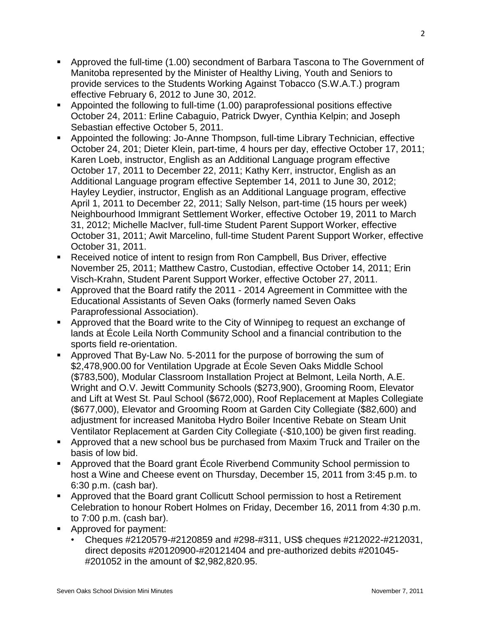- Approved the full-time (1.00) secondment of Barbara Tascona to The Government of Manitoba represented by the Minister of Healthy Living, Youth and Seniors to provide services to the Students Working Against Tobacco (S.W.A.T.) program effective February 6, 2012 to June 30, 2012.
- Appointed the following to full-time (1.00) paraprofessional positions effective October 24, 2011: Erline Cabaguio, Patrick Dwyer, Cynthia Kelpin; and Joseph Sebastian effective October 5, 2011.
- Appointed the following: Jo-Anne Thompson, full-time Library Technician, effective October 24, 201; Dieter Klein, part-time, 4 hours per day, effective October 17, 2011; Karen Loeb, instructor, English as an Additional Language program effective October 17, 2011 to December 22, 2011; Kathy Kerr, instructor, English as an Additional Language program effective September 14, 2011 to June 30, 2012; Hayley Leydier, instructor, English as an Additional Language program, effective April 1, 2011 to December 22, 2011; Sally Nelson, part-time (15 hours per week) Neighbourhood Immigrant Settlement Worker, effective October 19, 2011 to March 31, 2012; Michelle MacIver, full-time Student Parent Support Worker, effective October 31, 2011; Awit Marcelino, full-time Student Parent Support Worker, effective October 31, 2011.
- Received notice of intent to resign from Ron Campbell, Bus Driver, effective November 25, 2011; Matthew Castro, Custodian, effective October 14, 2011; Erin Visch-Krahn, Student Parent Support Worker, effective October 27, 2011.
- Approved that the Board ratify the 2011 2014 Agreement in Committee with the Educational Assistants of Seven Oaks (formerly named Seven Oaks Paraprofessional Association).
- Approved that the Board write to the City of Winnipeg to request an exchange of lands at École Leila North Community School and a financial contribution to the sports field re-orientation.
- Approved That By-Law No. 5-2011 for the purpose of borrowing the sum of \$2,478,900.00 for Ventilation Upgrade at École Seven Oaks Middle School (\$783,500), Modular Classroom Installation Project at Belmont, Leila North, A.E. Wright and O.V. Jewitt Community Schools (\$273,900), Grooming Room, Elevator and Lift at West St. Paul School (\$672,000), Roof Replacement at Maples Collegiate (\$677,000), Elevator and Grooming Room at Garden City Collegiate (\$82,600) and adjustment for increased Manitoba Hydro Boiler Incentive Rebate on Steam Unit Ventilator Replacement at Garden City Collegiate (-\$10,100) be given first reading.
- Approved that a new school bus be purchased from Maxim Truck and Trailer on the basis of low bid.
- Approved that the Board grant École Riverbend Community School permission to host a Wine and Cheese event on Thursday, December 15, 2011 from 3:45 p.m. to 6:30 p.m. (cash bar).
- Approved that the Board grant Collicutt School permission to host a Retirement Celebration to honour Robert Holmes on Friday, December 16, 2011 from 4:30 p.m. to 7:00 p.m. (cash bar).
- Approved for payment:
	- Cheques #2120579-#2120859 and #298-#311, US\$ cheques #212022-#212031, direct deposits #20120900-#20121404 and pre-authorized debits #201045- #201052 in the amount of \$2,982,820.95.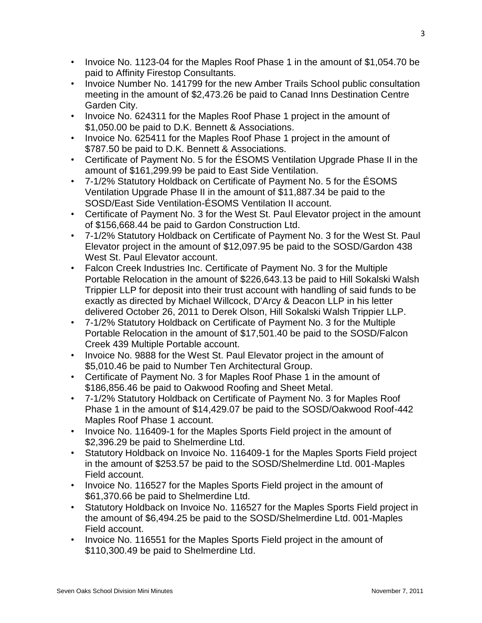- Invoice No. 1123-04 for the Maples Roof Phase 1 in the amount of \$1,054.70 be paid to Affinity Firestop Consultants.
- Invoice Number No. 141799 for the new Amber Trails School public consultation meeting in the amount of \$2,473.26 be paid to Canad Inns Destination Centre Garden City.
- Invoice No. 624311 for the Maples Roof Phase 1 project in the amount of \$1,050.00 be paid to D.K. Bennett & Associations.
- Invoice No. 625411 for the Maples Roof Phase 1 project in the amount of \$787.50 be paid to D.K. Bennett & Associations.
- Certificate of Payment No. 5 for the ÉSOMS Ventilation Upgrade Phase II in the amount of \$161,299.99 be paid to East Side Ventilation.
- 7-1/2% Statutory Holdback on Certificate of Payment No. 5 for the ÉSOMS Ventilation Upgrade Phase II in the amount of \$11,887.34 be paid to the SOSD/East Side Ventilation-ÉSOMS Ventilation II account.
- Certificate of Payment No. 3 for the West St. Paul Elevator project in the amount of \$156,668.44 be paid to Gardon Construction Ltd.
- 7-1/2% Statutory Holdback on Certificate of Payment No. 3 for the West St. Paul Elevator project in the amount of \$12,097.95 be paid to the SOSD/Gardon 438 West St. Paul Elevator account.
- Falcon Creek Industries Inc. Certificate of Payment No. 3 for the Multiple Portable Relocation in the amount of \$226,643.13 be paid to Hill Sokalski Walsh Trippier LLP for deposit into their trust account with handling of said funds to be exactly as directed by Michael Willcock, D'Arcy & Deacon LLP in his letter delivered October 26, 2011 to Derek Olson, Hill Sokalski Walsh Trippier LLP.
- 7-1/2% Statutory Holdback on Certificate of Payment No. 3 for the Multiple Portable Relocation in the amount of \$17,501.40 be paid to the SOSD/Falcon Creek 439 Multiple Portable account.
- Invoice No. 9888 for the West St. Paul Elevator project in the amount of \$5,010.46 be paid to Number Ten Architectural Group.
- Certificate of Payment No. 3 for Maples Roof Phase 1 in the amount of \$186,856.46 be paid to Oakwood Roofing and Sheet Metal.
- 7-1/2% Statutory Holdback on Certificate of Payment No. 3 for Maples Roof Phase 1 in the amount of \$14,429.07 be paid to the SOSD/Oakwood Roof-442 Maples Roof Phase 1 account.
- Invoice No. 116409-1 for the Maples Sports Field project in the amount of \$2,396.29 be paid to Shelmerdine Ltd.
- Statutory Holdback on Invoice No. 116409-1 for the Maples Sports Field project in the amount of \$253.57 be paid to the SOSD/Shelmerdine Ltd. 001-Maples Field account.
- Invoice No. 116527 for the Maples Sports Field project in the amount of \$61,370.66 be paid to Shelmerdine Ltd.
- Statutory Holdback on Invoice No. 116527 for the Maples Sports Field project in the amount of \$6,494.25 be paid to the SOSD/Shelmerdine Ltd. 001-Maples Field account.
- Invoice No. 116551 for the Maples Sports Field project in the amount of \$110,300.49 be paid to Shelmerdine Ltd.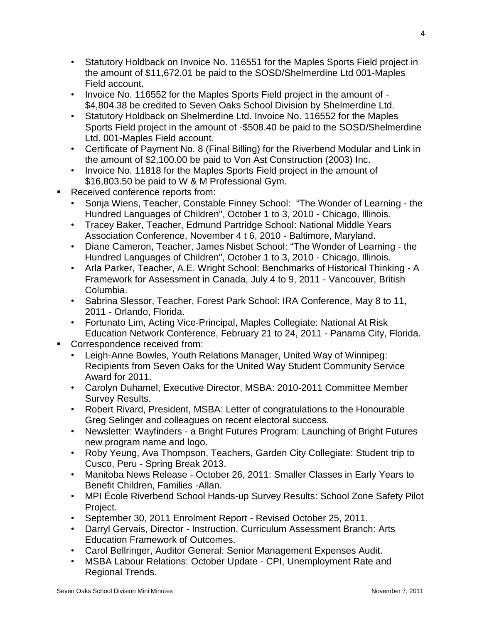- Statutory Holdback on Invoice No. 116551 for the Maples Sports Field project in the amount of \$11,672.01 be paid to the SOSD/Shelmerdine Ltd 001-Maples Field account.
- Invoice No. 116552 for the Maples Sports Field project in the amount of \$4,804.38 be credited to Seven Oaks School Division by Shelmerdine Ltd.
- Statutory Holdback on Shelmerdine Ltd. Invoice No. 116552 for the Maples Sports Field project in the amount of -\$508.40 be paid to the SOSD/Shelmerdine Ltd. 001-Maples Field account.
- Certificate of Payment No. 8 (Final Billing) for the Riverbend Modular and Link in the amount of \$2,100.00 be paid to Von Ast Construction (2003) Inc.
- Invoice No. 11818 for the Maples Sports Field project in the amount of \$16,803.50 be paid to W & M Professional Gym.
- **Received conference reports from:** 
	- Sonja Wiens, Teacher, Constable Finney School: "The Wonder of Learning the Hundred Languages of Children", October 1 to 3, 2010 - Chicago, Illinois.
	- Tracey Baker, Teacher, Edmund Partridge School: National Middle Years Association Conference, November 4 t 6, 2010 - Baltimore, Maryland.
	- Diane Cameron, Teacher, James Nisbet School: "The Wonder of Learning the Hundred Languages of Children", October 1 to 3, 2010 - Chicago, Illinois.
	- Arla Parker, Teacher, A.E. Wright School: Benchmarks of Historical Thinking A Framework for Assessment in Canada, July 4 to 9, 2011 - Vancouver, British Columbia.
	- Sabrina Slessor, Teacher, Forest Park School: IRA Conference, May 8 to 11, 2011 - Orlando, Florida.
	- Fortunato Lim, Acting Vice-Principal, Maples Collegiate: National At Risk Education Network Conference, February 21 to 24, 2011 - Panama City, Florida.
- **Correspondence received from:** 
	- Leigh-Anne Bowles, Youth Relations Manager, United Way of Winnipeg: Recipients from Seven Oaks for the United Way Student Community Service Award for 2011.
	- Carolyn Duhamel, Executive Director, MSBA: 2010-2011 Committee Member Survey Results.
	- Robert Rivard, President, MSBA: Letter of congratulations to the Honourable Greg Selinger and colleagues on recent electoral success.
	- Newsletter: Wayfinders a Bright Futures Program: Launching of Bright Futures new program name and logo.
	- Roby Yeung, Ava Thompson, Teachers, Garden City Collegiate: Student trip to Cusco, Peru - Spring Break 2013.
	- Manitoba News Release October 26, 2011: Smaller Classes in Early Years to Benefit Children, Families -Allan.
	- MPI École Riverbend School Hands-up Survey Results: School Zone Safety Pilot Project.
	- September 30, 2011 Enrolment Report Revised October 25, 2011.
	- Darryl Gervais, Director Instruction, Curriculum Assessment Branch: Arts Education Framework of Outcomes.
	- Carol Bellringer, Auditor General: Senior Management Expenses Audit.
	- MSBA Labour Relations: October Update CPI, Unemployment Rate and Regional Trends.